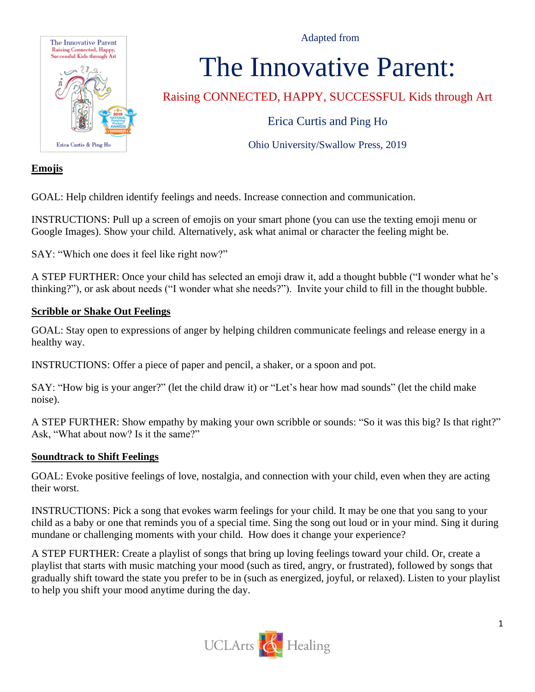Adapted from



# The Innovative Parent:

Raising CONNECTED, HAPPY, SUCCESSFUL Kids through Art

Erica Curtis and Ping Ho

Ohio University/Swallow Press, 2019

#### **Emojis**

GOAL: Help children identify feelings and needs. Increase connection and communication.

INSTRUCTIONS: Pull up a screen of emojis on your smart phone (you can use the texting emoji menu or Google Images). Show your child. Alternatively, ask what animal or character the feeling might be.

SAY: "Which one does it feel like right now?"

A STEP FURTHER: Once your child has selected an emoji draw it, add a thought bubble ("I wonder what he's thinking?"), or ask about needs ("I wonder what she needs?"). Invite your child to fill in the thought bubble.

#### **Scribble or Shake Out Feelings**

GOAL: Stay open to expressions of anger by helping children communicate feelings and release energy in a healthy way.

INSTRUCTIONS: Offer a piece of paper and pencil, a shaker, or a spoon and pot.

SAY: "How big is your anger?" (let the child draw it) or "Let's hear how mad sounds" (let the child make noise).

A STEP FURTHER: Show empathy by making your own scribble or sounds: "So it was this big? Is that right?" Ask, "What about now? Is it the same?"

#### **Soundtrack to Shift Feelings**

GOAL: Evoke positive feelings of love, nostalgia, and connection with your child, even when they are acting their worst.

INSTRUCTIONS: Pick a song that evokes warm feelings for your child. It may be one that you sang to your child as a baby or one that reminds you of a special time. Sing the song out loud or in your mind. Sing it during mundane or challenging moments with your child. How does it change your experience?

A STEP FURTHER: Create a playlist of songs that bring up loving feelings toward your child. Or, create a playlist that starts with music matching your mood (such as tired, angry, or frustrated), followed by songs that gradually shift toward the state you prefer to be in (such as energized, joyful, or relaxed). Listen to your playlist to help you shift your mood anytime during the day.